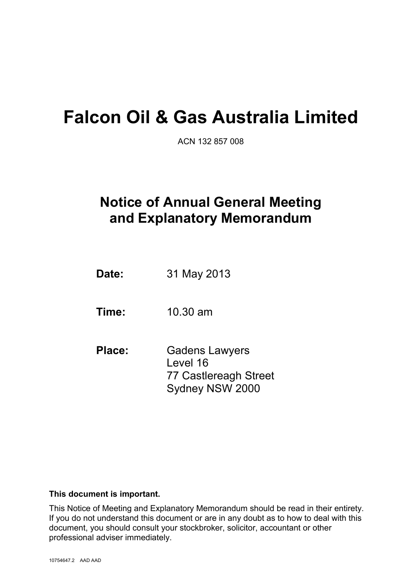# **Falcon Oil & Gas Australia Limited**

ACN 132 857 008

## **Notice of Annual General Meeting and Explanatory Memorandum**

 **Date:** 31 May 2013

 **Time:** 10.30 am

 **Place:** Gadens Lawyers Level 16 77 Castlereagh Street Sydney NSW 2000

#### **This document is important.**

This Notice of Meeting and Explanatory Memorandum should be read in their entirety. If you do not understand this document or are in any doubt as to how to deal with this document, you should consult your stockbroker, solicitor, accountant or other professional adviser immediately.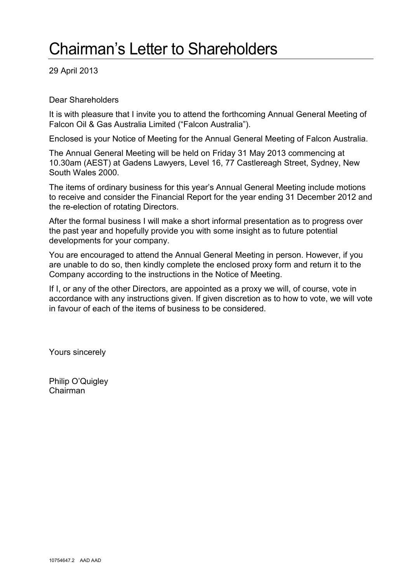# Chairman's Letter to Shareholders

29 April 2013

Dear Shareholders

It is with pleasure that I invite you to attend the forthcoming Annual General Meeting of Falcon Oil & Gas Australia Limited ("Falcon Australia").

Enclosed is your Notice of Meeting for the Annual General Meeting of Falcon Australia.

The Annual General Meeting will be held on Friday 31 May 2013 commencing at 10.30am (AEST) at Gadens Lawyers, Level 16, 77 Castlereagh Street, Sydney, New South Wales 2000.

The items of ordinary business for this year's Annual General Meeting include motions to receive and consider the Financial Report for the year ending 31 December 2012 and the re-election of rotating Directors.

After the formal business I will make a short informal presentation as to progress over the past year and hopefully provide you with some insight as to future potential developments for your company.

You are encouraged to attend the Annual General Meeting in person. However, if you are unable to do so, then kindly complete the enclosed proxy form and return it to the Company according to the instructions in the Notice of Meeting.

If I, or any of the other Directors, are appointed as a proxy we will, of course, vote in accordance with any instructions given. If given discretion as to how to vote, we will vote in favour of each of the items of business to be considered.

Yours sincerely

Philip O'Quigley Chairman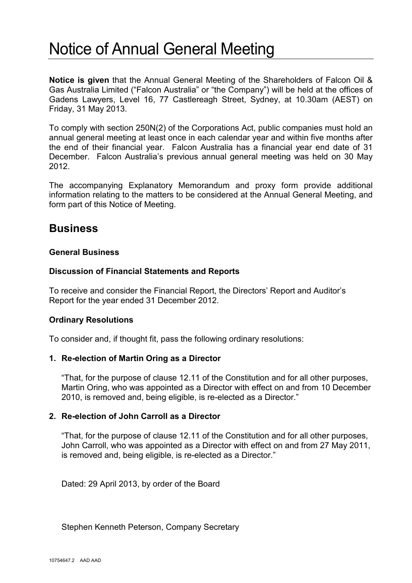## Notice of Annual General Meeting

**Notice is given** that the Annual General Meeting of the Shareholders of Falcon Oil & Gas Australia Limited ("Falcon Australia" or "the Company") will be held at the offices of Gadens Lawyers, Level 16, 77 Castlereagh Street, Sydney, at 10.30am (AEST) on Friday, 31 May 2013.

To comply with section 250N(2) of the Corporations Act, public companies must hold an annual general meeting at least once in each calendar year and within five months after the end of their financial year. Falcon Australia has a financial year end date of 31 December. Falcon Australia's previous annual general meeting was held on 30 May 2012.

The accompanying Explanatory Memorandum and proxy form provide additional information relating to the matters to be considered at the Annual General Meeting, and form part of this Notice of Meeting.

## **Business**

### **General Business**

### **Discussion of Financial Statements and Reports**

To receive and consider the Financial Report, the Directors' Report and Auditor's Report for the year ended 31 December 2012.

### **Ordinary Resolutions**

To consider and, if thought fit, pass the following ordinary resolutions:

### **1. Re-election of Martin Oring as a Director**

"That, for the purpose of clause 12.11 of the Constitution and for all other purposes, Martin Oring, who was appointed as a Director with effect on and from 10 December 2010, is removed and, being eligible, is re-elected as a Director."

### **2. Re-election of John Carroll as a Director**

"That, for the purpose of clause 12.11 of the Constitution and for all other purposes, John Carroll, who was appointed as a Director with effect on and from 27 May 2011, is removed and, being eligible, is re-elected as a Director."

Dated: 29 April 2013, by order of the Board

Stephen Kenneth Peterson, Company Secretary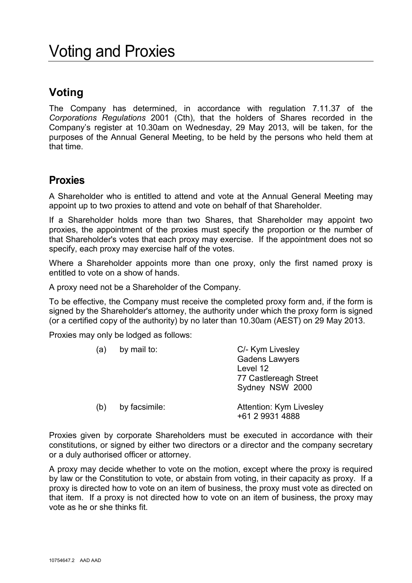## **Voting**

The Company has determined, in accordance with regulation 7.11.37 of the *Corporations Regulations* 2001 (Cth), that the holders of Shares recorded in the Company's register at 10.30am on Wednesday, 29 May 2013, will be taken, for the purposes of the Annual General Meeting, to be held by the persons who held them at that time.

## **Proxies**

A Shareholder who is entitled to attend and vote at the Annual General Meeting may appoint up to two proxies to attend and vote on behalf of that Shareholder.

If a Shareholder holds more than two Shares, that Shareholder may appoint two proxies, the appointment of the proxies must specify the proportion or the number of that Shareholder's votes that each proxy may exercise. If the appointment does not so specify, each proxy may exercise half of the votes.

Where a Shareholder appoints more than one proxy, only the first named proxy is entitled to vote on a show of hands.

A proxy need not be a Shareholder of the Company.

To be effective, the Company must receive the completed proxy form and, if the form is signed by the Shareholder's attorney, the authority under which the proxy form is signed (or a certified copy of the authority) by no later than 10.30am (AEST) on 29 May 2013.

Proxies may only be lodged as follows:

| (a) | by mail to:   | C/- Kym Livesley<br><b>Gadens Lawyers</b><br>Level 12<br>77 Castlereagh Street<br>Sydney NSW 2000 |
|-----|---------------|---------------------------------------------------------------------------------------------------|
| (b) | by facsimile: | Attention: Kym Livesley<br>+61 2 9931 4888                                                        |

Proxies given by corporate Shareholders must be executed in accordance with their constitutions, or signed by either two directors or a director and the company secretary or a duly authorised officer or attorney.

A proxy may decide whether to vote on the motion, except where the proxy is required by law or the Constitution to vote, or abstain from voting, in their capacity as proxy. If a proxy is directed how to vote on an item of business, the proxy must vote as directed on that item. If a proxy is not directed how to vote on an item of business, the proxy may vote as he or she thinks fit.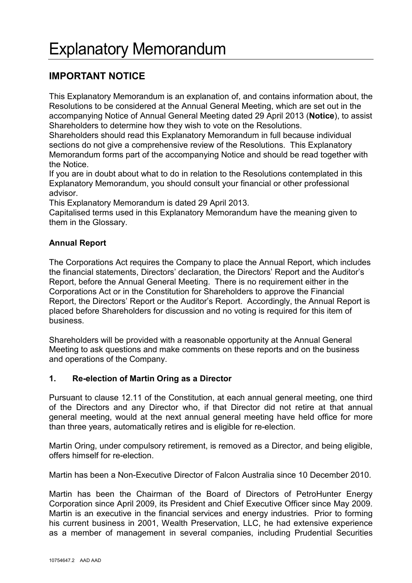## **IMPORTANT NOTICE**

This Explanatory Memorandum is an explanation of, and contains information about, the Resolutions to be considered at the Annual General Meeting, which are set out in the accompanying Notice of Annual General Meeting dated 29 April 2013 (**Notice**), to assist Shareholders to determine how they wish to vote on the Resolutions.

Shareholders should read this Explanatory Memorandum in full because individual sections do not give a comprehensive review of the Resolutions. This Explanatory Memorandum forms part of the accompanying Notice and should be read together with the Notice.

If you are in doubt about what to do in relation to the Resolutions contemplated in this Explanatory Memorandum, you should consult your financial or other professional advisor.

This Explanatory Memorandum is dated 29 April 2013.

Capitalised terms used in this Explanatory Memorandum have the meaning given to them in the Glossary.

## **Annual Report**

The Corporations Act requires the Company to place the Annual Report, which includes the financial statements, Directors' declaration, the Directors' Report and the Auditor's Report, before the Annual General Meeting. There is no requirement either in the Corporations Act or in the Constitution for Shareholders to approve the Financial Report, the Directors' Report or the Auditor's Report. Accordingly, the Annual Report is placed before Shareholders for discussion and no voting is required for this item of business.

Shareholders will be provided with a reasonable opportunity at the Annual General Meeting to ask questions and make comments on these reports and on the business and operations of the Company.

## **1. Re-election of Martin Oring as a Director**

Pursuant to clause 12.11 of the Constitution, at each annual general meeting, one third of the Directors and any Director who, if that Director did not retire at that annual general meeting, would at the next annual general meeting have held office for more than three years, automatically retires and is eligible for re-election.

Martin Oring, under compulsory retirement, is removed as a Director, and being eligible, offers himself for re-election.

Martin has been a Non-Executive Director of Falcon Australia since 10 December 2010.

Martin has been the Chairman of the Board of Directors of PetroHunter Energy Corporation since April 2009, its President and Chief Executive Officer since May 2009. Martin is an executive in the financial services and energy industries. Prior to forming his current business in 2001, Wealth Preservation, LLC, he had extensive experience as a member of management in several companies, including Prudential Securities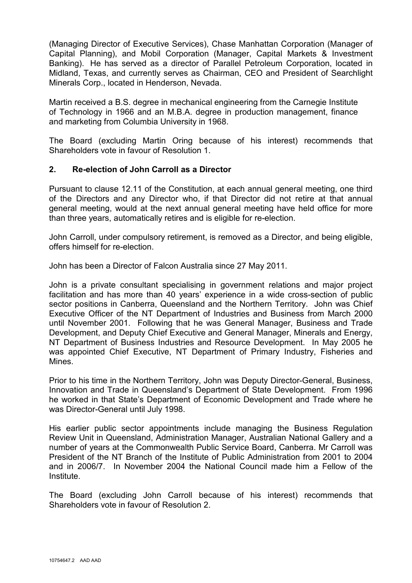(Managing Director of Executive Services), Chase Manhattan Corporation (Manager of Capital Planning), and Mobil Corporation (Manager, Capital Markets & Investment Banking). He has served as a director of Parallel Petroleum Corporation, located in Midland, Texas, and currently serves as Chairman, CEO and President of Searchlight Minerals Corp., located in Henderson, Nevada.

Martin received a B.S. degree in mechanical engineering from the Carnegie Institute of Technology in 1966 and an M.B.A. degree in production management, finance and marketing from Columbia University in 1968.

The Board (excluding Martin Oring because of his interest) recommends that Shareholders vote in favour of Resolution 1.

### **2. Re-election of John Carroll as a Director**

Pursuant to clause 12.11 of the Constitution, at each annual general meeting, one third of the Directors and any Director who, if that Director did not retire at that annual general meeting, would at the next annual general meeting have held office for more than three years, automatically retires and is eligible for re-election.

John Carroll, under compulsory retirement, is removed as a Director, and being eligible, offers himself for re-election.

John has been a Director of Falcon Australia since 27 May 2011.

John is a private consultant specialising in government relations and major project facilitation and has more than 40 years' experience in a wide cross-section of public sector positions in Canberra, Queensland and the Northern Territory. John was Chief Executive Officer of the NT Department of Industries and Business from March 2000 until November 2001. Following that he was General Manager, Business and Trade Development, and Deputy Chief Executive and General Manager, Minerals and Energy, NT Department of Business Industries and Resource Development. In May 2005 he was appointed Chief Executive, NT Department of Primary Industry, Fisheries and Mines.

Prior to his time in the Northern Territory, John was Deputy Director-General, Business, Innovation and Trade in Queensland's Department of State Development. From 1996 he worked in that State's Department of Economic Development and Trade where he was Director-General until July 1998.

His earlier public sector appointments include managing the Business Regulation Review Unit in Queensland, Administration Manager, Australian National Gallery and a number of years at the Commonwealth Public Service Board, Canberra. Mr Carroll was President of the NT Branch of the Institute of Public Administration from 2001 to 2004 and in 2006/7. In November 2004 the National Council made him a Fellow of the Institute.

The Board (excluding John Carroll because of his interest) recommends that Shareholders vote in favour of Resolution 2.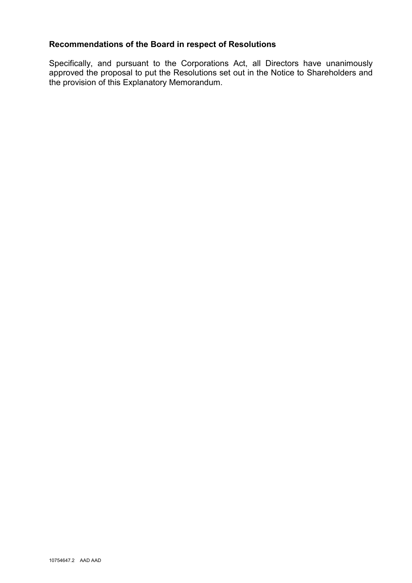## **Recommendations of the Board in respect of Resolutions**

Specifically, and pursuant to the Corporations Act, all Directors have unanimously approved the proposal to put the Resolutions set out in the Notice to Shareholders and the provision of this Explanatory Memorandum.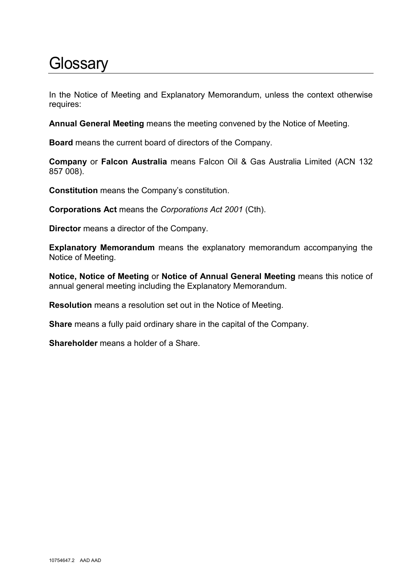## **Glossary**

In the Notice of Meeting and Explanatory Memorandum, unless the context otherwise requires:

**Annual General Meeting** means the meeting convened by the Notice of Meeting.

**Board** means the current board of directors of the Company.

**Company** or **Falcon Australia** means Falcon Oil & Gas Australia Limited (ACN 132 857 008).

**Constitution** means the Company's constitution.

**Corporations Act** means the *Corporations Act 2001* (Cth).

**Director** means a director of the Company.

**Explanatory Memorandum** means the explanatory memorandum accompanying the Notice of Meeting.

**Notice, Notice of Meeting** or **Notice of Annual General Meeting** means this notice of annual general meeting including the Explanatory Memorandum.

**Resolution** means a resolution set out in the Notice of Meeting.

**Share** means a fully paid ordinary share in the capital of the Company.

**Shareholder** means a holder of a Share.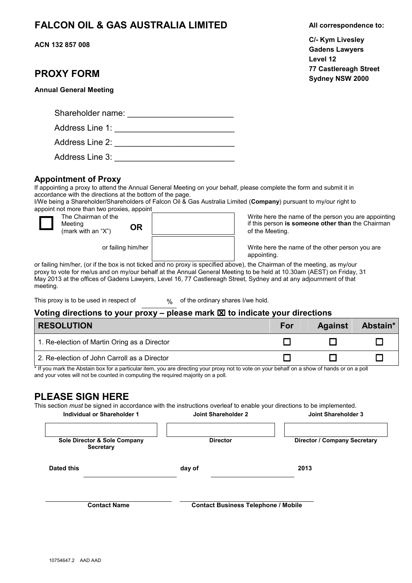## **FALCON OIL & GAS AUSTRALIA LIMITED All correspondence to:**

**ACN 132 857 008** 

#### **Sydney NSW 2000 PROXY FORM Annual General Meeting** Shareholder name:  $\Box$ Address Line 1: \_\_\_\_\_\_\_\_\_\_\_\_\_\_\_\_\_\_\_\_\_\_\_\_\_\_ Address Line 2: \_\_\_\_\_\_\_\_\_\_\_\_\_\_\_\_\_\_\_\_\_\_\_\_\_\_ Address Line 3: \_\_\_\_\_\_\_\_\_\_\_\_\_\_\_\_\_\_\_\_\_\_\_\_\_\_ **Appointment of Proxy**  If appointing a proxy to attend the Annual General Meeting on your behalf, please complete the form and submit it in accordance with the directions at the bottom of the page. I/We being a Shareholder/Shareholders of Falcon Oil & Gas Australia Limited (**Company**) pursuant to my/our right to appoint not more than two proxies, appoint  $\overline{\square}$ The Chairman of the Meeting (mark with an "X") **OR** Write here the name of the person you are appointing if this person **is someone other than** the Chairman of the Meeting. or failing him/her Write here the name of the other person you are appointing. or failing him/her, (or if the box is not ticked and no proxy is specified above), the Chairman of the meeting, as my/our proxy to vote for me/us and on my/our behalf at the Annual General Meeting to be held at 10.30am (AEST) on Friday, 31 May 2013 at the offices of Gadens Lawyers, Level 16, 77 Castlereagh Street, Sydney and at any adjournment of that meeting. This proxy is to be used in respect of % of the ordinary shares I/we hold. **Voting directions to your proxy – please mark to indicate your directions**

| <b>RESOLUTION</b>                            | For | <b>Against</b> | Abstain* |
|----------------------------------------------|-----|----------------|----------|
| 1. Re-election of Martin Oring as a Director |     |                |          |
| 2. Re-election of John Carroll as a Director |     |                |          |

\* If you mark the Abstain box for a particular item, you are directing your proxy not to vote on your behalf on a show of hands or on a poll and your votes will not be counted in computing the required majority on a poll.

## **PLEASE SIGN HERE**

This section *must* be signed in accordance with the instructions overleaf to enable your directions to be implemented. **Individual or Shareholder 1 Joint Shareholder 2 Joint Shareholder 3** 

|                   | <u>IIIUIVIUUAI OI SIIAI EIIUIUEI T</u>           | JUIIII JIIII HIUIU L                       | JUIII JIII HIUIU J                  |
|-------------------|--------------------------------------------------|--------------------------------------------|-------------------------------------|
|                   | Sole Director & Sole Company<br><b>Secretary</b> | <b>Director</b>                            | <b>Director / Company Secretary</b> |
| <b>Dated this</b> |                                                  | day of                                     | 2013                                |
|                   | <b>Contact Name</b>                              | <b>Contact Business Telephone / Mobile</b> |                                     |

**C/- Kym Livesley Gadens Lawyers Level 12 77 Castlereagh Street**